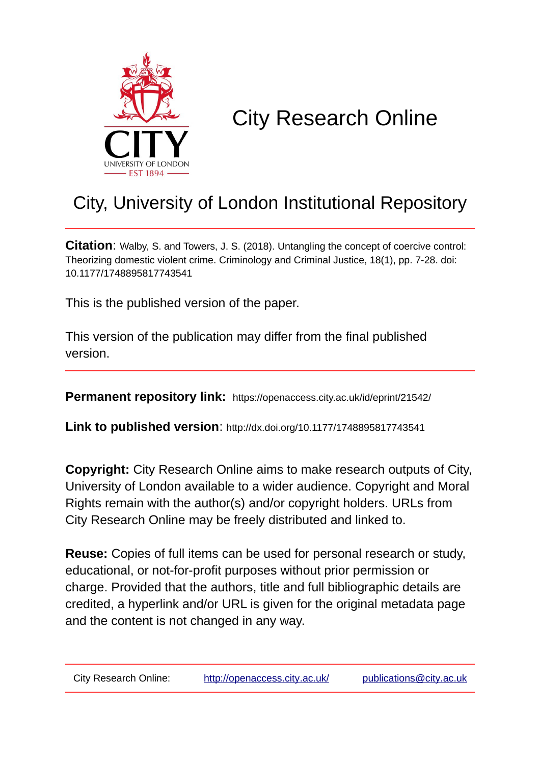

# City Research Online

# City, University of London Institutional Repository

**Citation**: Walby, S. and Towers, J. S. (2018). Untangling the concept of coercive control: Theorizing domestic violent crime. Criminology and Criminal Justice, 18(1), pp. 7-28. doi: 10.1177/1748895817743541

This is the published version of the paper.

This version of the publication may differ from the final published version.

**Permanent repository link:** https://openaccess.city.ac.uk/id/eprint/21542/

**Link to published version**: http://dx.doi.org/10.1177/1748895817743541

**Copyright:** City Research Online aims to make research outputs of City, University of London available to a wider audience. Copyright and Moral Rights remain with the author(s) and/or copyright holders. URLs from City Research Online may be freely distributed and linked to.

**Reuse:** Copies of full items can be used for personal research or study, educational, or not-for-profit purposes without prior permission or charge. Provided that the authors, title and full bibliographic details are credited, a hyperlink and/or URL is given for the original metadata page and the content is not changed in any way.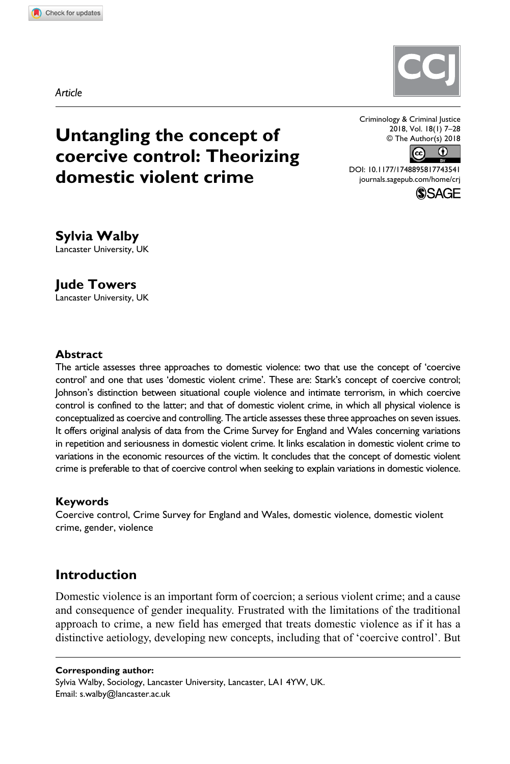**7435[41](http://crossmark.crossref.org/dialog/?doi=10.1177%2F1748895817743541&domain=pdf&date_stamp=2018-01-07)** CRJ0010.1177/1748895817743541Criminology & Criminal Justice**Walby and Towers**

*Article*

# **Untangling the concept of coercive control: Theorizing domestic violent crime**

Criminology & Criminal Justice 2018, Vol. 18(1) 7–28 © The Author(s) 2018



DOI: 10.1177/1748895817743541 [journals.sagepub.com/home/crj](https://journals.sagepub.com/home/crj
)



**Sylvia Walby** Lancaster University, UK

**Jude Towers**

Lancaster University, UK

#### **Abstract**

The article assesses three approaches to domestic violence: two that use the concept of 'coercive control' and one that uses 'domestic violent crime'. These are: Stark's concept of coercive control; Johnson's distinction between situational couple violence and intimate terrorism, in which coercive control is confined to the latter; and that of domestic violent crime, in which all physical violence is conceptualized as coercive and controlling. The article assesses these three approaches on seven issues. It offers original analysis of data from the Crime Survey for England and Wales concerning variations in repetition and seriousness in domestic violent crime. It links escalation in domestic violent crime to variations in the economic resources of the victim. It concludes that the concept of domestic violent crime is preferable to that of coercive control when seeking to explain variations in domestic violence.

# **Keywords**

Coercive control, Crime Survey for England and Wales, domestic violence, domestic violent crime, gender, violence

# **Introduction**

Domestic violence is an important form of coercion; a serious violent crime; and a cause and consequence of gender inequality. Frustrated with the limitations of the traditional approach to crime, a new field has emerged that treats domestic violence as if it has a distinctive aetiology, developing new concepts, including that of 'coercive control'. But

#### **Corresponding author:**

Sylvia Walby, Sociology, Lancaster University, Lancaster, LA1 4YW, UK. Email: [s.walby@lancaster.ac.uk](mailto:s.walby@lancaster.ac.uk)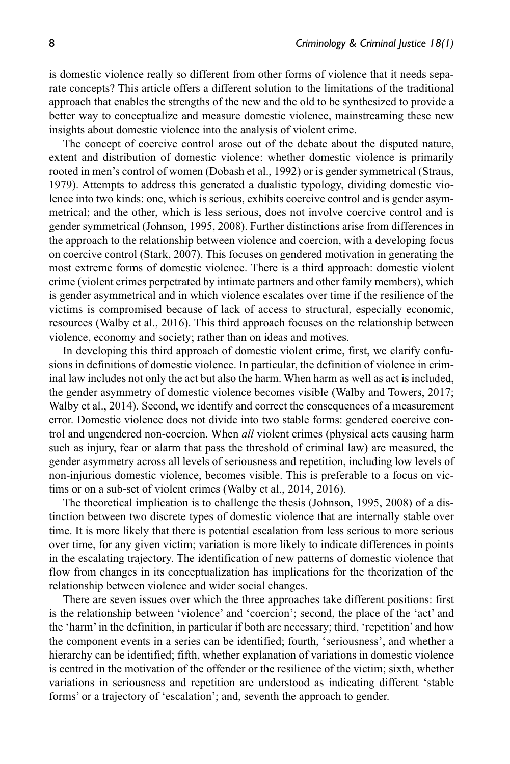is domestic violence really so different from other forms of violence that it needs separate concepts? This article offers a different solution to the limitations of the traditional approach that enables the strengths of the new and the old to be synthesized to provide a better way to conceptualize and measure domestic violence, mainstreaming these new insights about domestic violence into the analysis of violent crime.

The concept of coercive control arose out of the debate about the disputed nature, extent and distribution of domestic violence: whether domestic violence is primarily rooted in men's control of women (Dobash et al., 1992) or is gender symmetrical (Straus, 1979). Attempts to address this generated a dualistic typology, dividing domestic violence into two kinds: one, which is serious, exhibits coercive control and is gender asymmetrical; and the other, which is less serious, does not involve coercive control and is gender symmetrical (Johnson, 1995, 2008). Further distinctions arise from differences in the approach to the relationship between violence and coercion, with a developing focus on coercive control (Stark, 2007). This focuses on gendered motivation in generating the most extreme forms of domestic violence. There is a third approach: domestic violent crime (violent crimes perpetrated by intimate partners and other family members), which is gender asymmetrical and in which violence escalates over time if the resilience of the victims is compromised because of lack of access to structural, especially economic, resources (Walby et al., 2016). This third approach focuses on the relationship between violence, economy and society; rather than on ideas and motives.

In developing this third approach of domestic violent crime, first, we clarify confusions in definitions of domestic violence. In particular, the definition of violence in criminal law includes not only the act but also the harm. When harm as well as act is included, the gender asymmetry of domestic violence becomes visible (Walby and Towers, 2017; Walby et al., 2014). Second, we identify and correct the consequences of a measurement error. Domestic violence does not divide into two stable forms: gendered coercive control and ungendered non-coercion. When *all* violent crimes (physical acts causing harm such as injury, fear or alarm that pass the threshold of criminal law) are measured, the gender asymmetry across all levels of seriousness and repetition, including low levels of non-injurious domestic violence, becomes visible. This is preferable to a focus on victims or on a sub-set of violent crimes (Walby et al., 2014, 2016).

The theoretical implication is to challenge the thesis (Johnson, 1995, 2008) of a distinction between two discrete types of domestic violence that are internally stable over time. It is more likely that there is potential escalation from less serious to more serious over time, for any given victim; variation is more likely to indicate differences in points in the escalating trajectory. The identification of new patterns of domestic violence that flow from changes in its conceptualization has implications for the theorization of the relationship between violence and wider social changes.

There are seven issues over which the three approaches take different positions: first is the relationship between 'violence' and 'coercion'; second, the place of the 'act' and the 'harm' in the definition, in particular if both are necessary; third, 'repetition' and how the component events in a series can be identified; fourth, 'seriousness', and whether a hierarchy can be identified; fifth, whether explanation of variations in domestic violence is centred in the motivation of the offender or the resilience of the victim; sixth, whether variations in seriousness and repetition are understood as indicating different 'stable forms' or a trajectory of 'escalation'; and, seventh the approach to gender.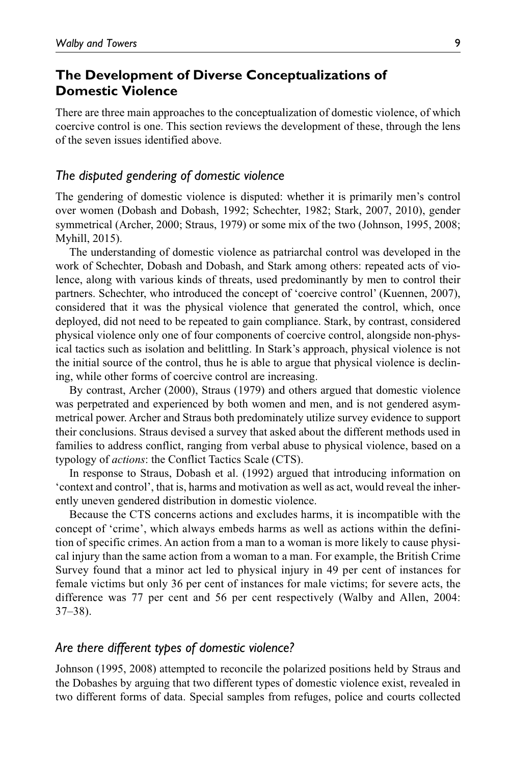# **The Development of Diverse Conceptualizations of Domestic Violence**

There are three main approaches to the conceptualization of domestic violence, of which coercive control is one. This section reviews the development of these, through the lens of the seven issues identified above.

#### *The disputed gendering of domestic violence*

The gendering of domestic violence is disputed: whether it is primarily men's control over women (Dobash and Dobash, 1992; Schechter, 1982; Stark, 2007, 2010), gender symmetrical (Archer, 2000; Straus, 1979) or some mix of the two (Johnson, 1995, 2008; Myhill, 2015).

The understanding of domestic violence as patriarchal control was developed in the work of Schechter, Dobash and Dobash, and Stark among others: repeated acts of violence, along with various kinds of threats, used predominantly by men to control their partners. Schechter, who introduced the concept of 'coercive control' (Kuennen, 2007), considered that it was the physical violence that generated the control, which, once deployed, did not need to be repeated to gain compliance. Stark, by contrast, considered physical violence only one of four components of coercive control, alongside non-physical tactics such as isolation and belittling. In Stark's approach, physical violence is not the initial source of the control, thus he is able to argue that physical violence is declining, while other forms of coercive control are increasing.

By contrast, Archer (2000), Straus (1979) and others argued that domestic violence was perpetrated and experienced by both women and men, and is not gendered asymmetrical power. Archer and Straus both predominately utilize survey evidence to support their conclusions. Straus devised a survey that asked about the different methods used in families to address conflict, ranging from verbal abuse to physical violence, based on a typology of *actions*: the Conflict Tactics Scale (CTS).

In response to Straus, Dobash et al. (1992) argued that introducing information on 'context and control', that is, harms and motivation as well as act, would reveal the inherently uneven gendered distribution in domestic violence.

Because the CTS concerns actions and excludes harms, it is incompatible with the concept of 'crime', which always embeds harms as well as actions within the definition of specific crimes. An action from a man to a woman is more likely to cause physical injury than the same action from a woman to a man. For example, the British Crime Survey found that a minor act led to physical injury in 49 per cent of instances for female victims but only 36 per cent of instances for male victims; for severe acts, the difference was 77 per cent and 56 per cent respectively (Walby and Allen, 2004: 37–38).

# *Are there different types of domestic violence?*

Johnson (1995, 2008) attempted to reconcile the polarized positions held by Straus and the Dobashes by arguing that two different types of domestic violence exist, revealed in two different forms of data. Special samples from refuges, police and courts collected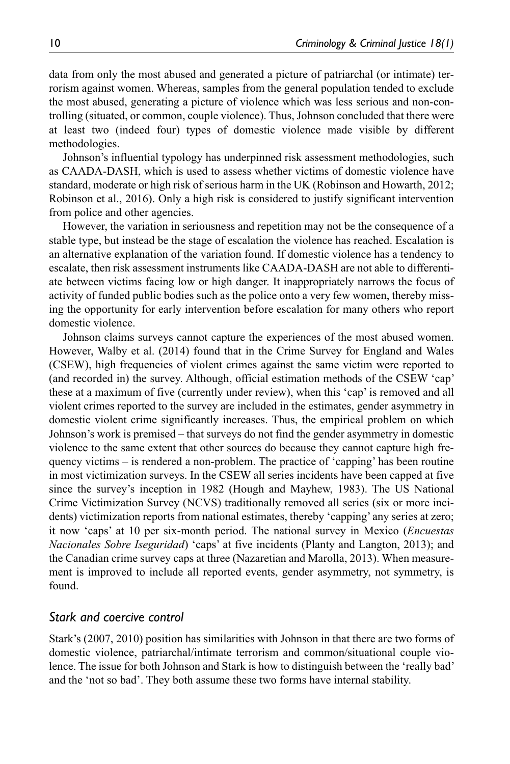data from only the most abused and generated a picture of patriarchal (or intimate) terrorism against women. Whereas, samples from the general population tended to exclude the most abused, generating a picture of violence which was less serious and non-controlling (situated, or common, couple violence). Thus, Johnson concluded that there were at least two (indeed four) types of domestic violence made visible by different methodologies.

Johnson's influential typology has underpinned risk assessment methodologies, such as CAADA-DASH, which is used to assess whether victims of domestic violence have standard, moderate or high risk of serious harm in the UK (Robinson and Howarth, 2012; Robinson et al., 2016). Only a high risk is considered to justify significant intervention from police and other agencies.

However, the variation in seriousness and repetition may not be the consequence of a stable type, but instead be the stage of escalation the violence has reached. Escalation is an alternative explanation of the variation found. If domestic violence has a tendency to escalate, then risk assessment instruments like CAADA-DASH are not able to differentiate between victims facing low or high danger. It inappropriately narrows the focus of activity of funded public bodies such as the police onto a very few women, thereby missing the opportunity for early intervention before escalation for many others who report domestic violence.

Johnson claims surveys cannot capture the experiences of the most abused women. However, Walby et al. (2014) found that in the Crime Survey for England and Wales (CSEW), high frequencies of violent crimes against the same victim were reported to (and recorded in) the survey. Although, official estimation methods of the CSEW 'cap' these at a maximum of five (currently under review), when this 'cap' is removed and all violent crimes reported to the survey are included in the estimates, gender asymmetry in domestic violent crime significantly increases. Thus, the empirical problem on which Johnson's work is premised – that surveys do not find the gender asymmetry in domestic violence to the same extent that other sources do because they cannot capture high frequency victims – is rendered a non-problem. The practice of 'capping' has been routine in most victimization surveys. In the CSEW all series incidents have been capped at five since the survey's inception in 1982 (Hough and Mayhew, 1983). The US National Crime Victimization Survey (NCVS) traditionally removed all series (six or more incidents) victimization reports from national estimates, thereby 'capping' any series at zero; it now 'caps' at 10 per six-month period. The national survey in Mexico (*Encuestas Nacionales Sobre Iseguridad*) 'caps' at five incidents (Planty and Langton, 2013); and the Canadian crime survey caps at three (Nazaretian and Marolla, 2013). When measurement is improved to include all reported events, gender asymmetry, not symmetry, is found.

#### *Stark and coercive control*

Stark's (2007, 2010) position has similarities with Johnson in that there are two forms of domestic violence, patriarchal/intimate terrorism and common/situational couple violence. The issue for both Johnson and Stark is how to distinguish between the 'really bad' and the 'not so bad'. They both assume these two forms have internal stability.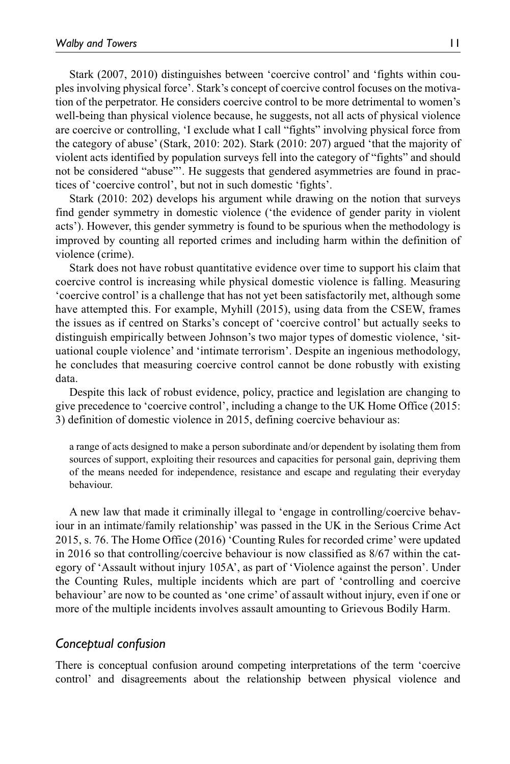Stark (2007, 2010) distinguishes between 'coercive control' and 'fights within couples involving physical force'. Stark's concept of coercive control focuses on the motivation of the perpetrator. He considers coercive control to be more detrimental to women's well-being than physical violence because, he suggests, not all acts of physical violence are coercive or controlling, 'I exclude what I call "fights" involving physical force from the category of abuse' (Stark, 2010: 202). Stark (2010: 207) argued 'that the majority of violent acts identified by population surveys fell into the category of "fights" and should not be considered "abuse"'. He suggests that gendered asymmetries are found in practices of 'coercive control', but not in such domestic 'fights'.

Stark (2010: 202) develops his argument while drawing on the notion that surveys find gender symmetry in domestic violence ('the evidence of gender parity in violent acts'). However, this gender symmetry is found to be spurious when the methodology is improved by counting all reported crimes and including harm within the definition of violence (crime).

Stark does not have robust quantitative evidence over time to support his claim that coercive control is increasing while physical domestic violence is falling. Measuring 'coercive control' is a challenge that has not yet been satisfactorily met, although some have attempted this. For example, Myhill (2015), using data from the CSEW, frames the issues as if centred on Starks's concept of 'coercive control' but actually seeks to distinguish empirically between Johnson's two major types of domestic violence, 'situational couple violence' and 'intimate terrorism'. Despite an ingenious methodology, he concludes that measuring coercive control cannot be done robustly with existing data.

Despite this lack of robust evidence, policy, practice and legislation are changing to give precedence to 'coercive control', including a change to the UK Home Office (2015: 3) definition of domestic violence in 2015, defining coercive behaviour as:

a range of acts designed to make a person subordinate and/or dependent by isolating them from sources of support, exploiting their resources and capacities for personal gain, depriving them of the means needed for independence, resistance and escape and regulating their everyday behaviour.

A new law that made it criminally illegal to 'engage in controlling/coercive behaviour in an intimate/family relationship' was passed in the UK in the Serious Crime Act 2015, s. 76. The Home Office (2016) 'Counting Rules for recorded crime' were updated in 2016 so that controlling/coercive behaviour is now classified as 8/67 within the category of 'Assault without injury 105A', as part of 'Violence against the person'. Under the Counting Rules, multiple incidents which are part of 'controlling and coercive behaviour' are now to be counted as 'one crime' of assault without injury, even if one or more of the multiple incidents involves assault amounting to Grievous Bodily Harm.

# *Conceptual confusion*

There is conceptual confusion around competing interpretations of the term 'coercive control' and disagreements about the relationship between physical violence and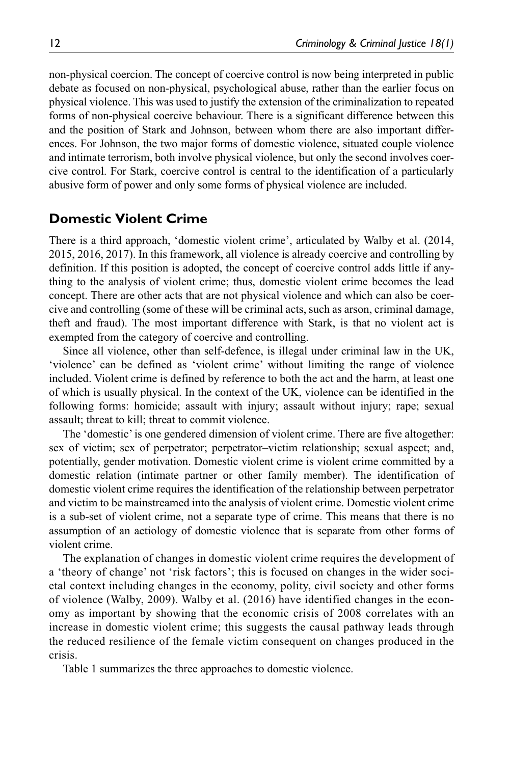non-physical coercion. The concept of coercive control is now being interpreted in public debate as focused on non-physical, psychological abuse, rather than the earlier focus on physical violence. This was used to justify the extension of the criminalization to repeated forms of non-physical coercive behaviour. There is a significant difference between this and the position of Stark and Johnson, between whom there are also important differences. For Johnson, the two major forms of domestic violence, situated couple violence and intimate terrorism, both involve physical violence, but only the second involves coercive control. For Stark, coercive control is central to the identification of a particularly abusive form of power and only some forms of physical violence are included.

# **Domestic Violent Crime**

There is a third approach, 'domestic violent crime', articulated by Walby et al. (2014, 2015, 2016, 2017). In this framework, all violence is already coercive and controlling by definition. If this position is adopted, the concept of coercive control adds little if anything to the analysis of violent crime; thus, domestic violent crime becomes the lead concept. There are other acts that are not physical violence and which can also be coercive and controlling (some of these will be criminal acts, such as arson, criminal damage, theft and fraud). The most important difference with Stark, is that no violent act is exempted from the category of coercive and controlling.

Since all violence, other than self-defence, is illegal under criminal law in the UK, 'violence' can be defined as 'violent crime' without limiting the range of violence included. Violent crime is defined by reference to both the act and the harm, at least one of which is usually physical. In the context of the UK, violence can be identified in the following forms: homicide; assault with injury; assault without injury; rape; sexual assault; threat to kill; threat to commit violence.

The 'domestic' is one gendered dimension of violent crime. There are five altogether: sex of victim; sex of perpetrator; perpetrator–victim relationship; sexual aspect; and, potentially, gender motivation. Domestic violent crime is violent crime committed by a domestic relation (intimate partner or other family member). The identification of domestic violent crime requires the identification of the relationship between perpetrator and victim to be mainstreamed into the analysis of violent crime. Domestic violent crime is a sub-set of violent crime, not a separate type of crime. This means that there is no assumption of an aetiology of domestic violence that is separate from other forms of violent crime.

The explanation of changes in domestic violent crime requires the development of a 'theory of change' not 'risk factors'; this is focused on changes in the wider societal context including changes in the economy, polity, civil society and other forms of violence (Walby, 2009). Walby et al. (2016) have identified changes in the economy as important by showing that the economic crisis of 2008 correlates with an increase in domestic violent crime; this suggests the causal pathway leads through the reduced resilience of the female victim consequent on changes produced in the crisis.

Table 1 summarizes the three approaches to domestic violence.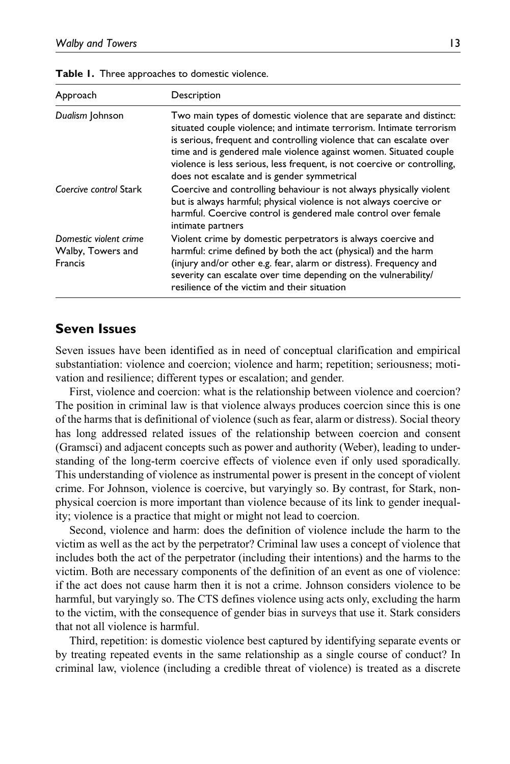| Approach                                                      | Description                                                                                                                                                                                                                                                                                                                                                                                                         |
|---------------------------------------------------------------|---------------------------------------------------------------------------------------------------------------------------------------------------------------------------------------------------------------------------------------------------------------------------------------------------------------------------------------------------------------------------------------------------------------------|
| Dualism Johnson                                               | Two main types of domestic violence that are separate and distinct:<br>situated couple violence; and intimate terrorism. Intimate terrorism<br>is serious, frequent and controlling violence that can escalate over<br>time and is gendered male violence against women. Situated couple<br>violence is less serious, less frequent, is not coercive or controlling,<br>does not escalate and is gender symmetrical |
| Coercive control Stark                                        | Coercive and controlling behaviour is not always physically violent<br>but is always harmful; physical violence is not always coercive or<br>harmful. Coercive control is gendered male control over female<br>intimate partners                                                                                                                                                                                    |
| Domestic violent crime<br>Walby, Towers and<br><b>Francis</b> | Violent crime by domestic perpetrators is always coercive and<br>harmful: crime defined by both the act (physical) and the harm<br>(injury and/or other e.g. fear, alarm or distress). Frequency and<br>severity can escalate over time depending on the vulnerability/<br>resilience of the victim and their situation                                                                                             |

**Table 1.** Three approaches to domestic violence.

#### **Seven Issues**

Seven issues have been identified as in need of conceptual clarification and empirical substantiation: violence and coercion; violence and harm; repetition; seriousness; motivation and resilience; different types or escalation; and gender.

First, violence and coercion: what is the relationship between violence and coercion? The position in criminal law is that violence always produces coercion since this is one of the harms that is definitional of violence (such as fear, alarm or distress). Social theory has long addressed related issues of the relationship between coercion and consent (Gramsci) and adjacent concepts such as power and authority (Weber), leading to understanding of the long-term coercive effects of violence even if only used sporadically. This understanding of violence as instrumental power is present in the concept of violent crime. For Johnson, violence is coercive, but varyingly so. By contrast, for Stark, nonphysical coercion is more important than violence because of its link to gender inequality; violence is a practice that might or might not lead to coercion.

Second, violence and harm: does the definition of violence include the harm to the victim as well as the act by the perpetrator? Criminal law uses a concept of violence that includes both the act of the perpetrator (including their intentions) and the harms to the victim. Both are necessary components of the definition of an event as one of violence: if the act does not cause harm then it is not a crime. Johnson considers violence to be harmful, but varyingly so. The CTS defines violence using acts only, excluding the harm to the victim, with the consequence of gender bias in surveys that use it. Stark considers that not all violence is harmful.

Third, repetition: is domestic violence best captured by identifying separate events or by treating repeated events in the same relationship as a single course of conduct? In criminal law, violence (including a credible threat of violence) is treated as a discrete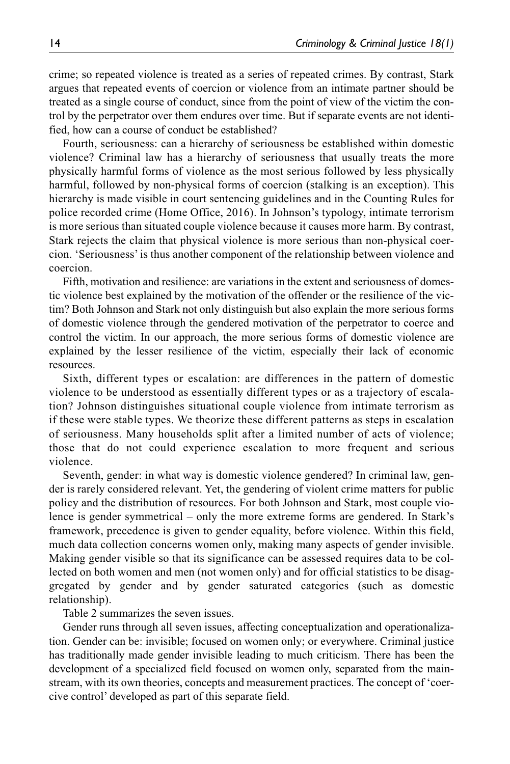crime; so repeated violence is treated as a series of repeated crimes. By contrast, Stark argues that repeated events of coercion or violence from an intimate partner should be treated as a single course of conduct, since from the point of view of the victim the control by the perpetrator over them endures over time. But if separate events are not identified, how can a course of conduct be established?

Fourth, seriousness: can a hierarchy of seriousness be established within domestic violence? Criminal law has a hierarchy of seriousness that usually treats the more physically harmful forms of violence as the most serious followed by less physically harmful, followed by non-physical forms of coercion (stalking is an exception). This hierarchy is made visible in court sentencing guidelines and in the Counting Rules for police recorded crime (Home Office, 2016). In Johnson's typology, intimate terrorism is more serious than situated couple violence because it causes more harm. By contrast, Stark rejects the claim that physical violence is more serious than non-physical coercion. 'Seriousness' is thus another component of the relationship between violence and coercion.

Fifth, motivation and resilience: are variations in the extent and seriousness of domestic violence best explained by the motivation of the offender or the resilience of the victim? Both Johnson and Stark not only distinguish but also explain the more serious forms of domestic violence through the gendered motivation of the perpetrator to coerce and control the victim. In our approach, the more serious forms of domestic violence are explained by the lesser resilience of the victim, especially their lack of economic resources.

Sixth, different types or escalation: are differences in the pattern of domestic violence to be understood as essentially different types or as a trajectory of escalation? Johnson distinguishes situational couple violence from intimate terrorism as if these were stable types. We theorize these different patterns as steps in escalation of seriousness. Many households split after a limited number of acts of violence; those that do not could experience escalation to more frequent and serious violence.

Seventh, gender: in what way is domestic violence gendered? In criminal law, gender is rarely considered relevant. Yet, the gendering of violent crime matters for public policy and the distribution of resources. For both Johnson and Stark, most couple violence is gender symmetrical – only the more extreme forms are gendered. In Stark's framework, precedence is given to gender equality, before violence. Within this field, much data collection concerns women only, making many aspects of gender invisible. Making gender visible so that its significance can be assessed requires data to be collected on both women and men (not women only) and for official statistics to be disaggregated by gender and by gender saturated categories (such as domestic relationship).

Table 2 summarizes the seven issues.

Gender runs through all seven issues, affecting conceptualization and operationalization. Gender can be: invisible; focused on women only; or everywhere. Criminal justice has traditionally made gender invisible leading to much criticism. There has been the development of a specialized field focused on women only, separated from the mainstream, with its own theories, concepts and measurement practices. The concept of 'coercive control' developed as part of this separate field.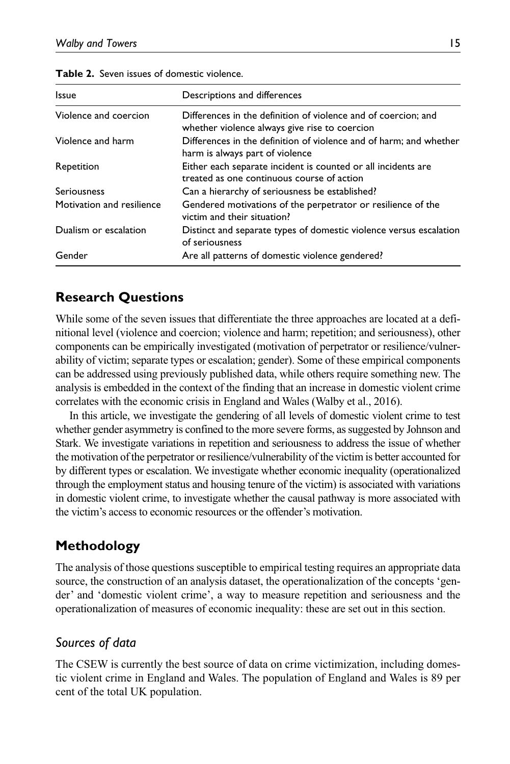| Issue                     | Descriptions and differences                                                                                    |
|---------------------------|-----------------------------------------------------------------------------------------------------------------|
| Violence and coercion     | Differences in the definition of violence and of coercion; and<br>whether violence always give rise to coercion |
| Violence and harm         | Differences in the definition of violence and of harm; and whether<br>harm is always part of violence           |
| Repetition                | Either each separate incident is counted or all incidents are<br>treated as one continuous course of action     |
| <b>Seriousness</b>        | Can a hierarchy of seriousness be established?                                                                  |
| Motivation and resilience | Gendered motivations of the perpetrator or resilience of the<br>victim and their situation?                     |
| Dualism or escalation     | Distinct and separate types of domestic violence versus escalation<br>of seriousness                            |
| Gender                    | Are all patterns of domestic violence gendered?                                                                 |

|  |  | Table 2. Seven issues of domestic violence. |  |
|--|--|---------------------------------------------|--|
|--|--|---------------------------------------------|--|

# **Research Questions**

While some of the seven issues that differentiate the three approaches are located at a definitional level (violence and coercion; violence and harm; repetition; and seriousness), other components can be empirically investigated (motivation of perpetrator or resilience/vulnerability of victim; separate types or escalation; gender). Some of these empirical components can be addressed using previously published data, while others require something new. The analysis is embedded in the context of the finding that an increase in domestic violent crime correlates with the economic crisis in England and Wales (Walby et al., 2016).

In this article, we investigate the gendering of all levels of domestic violent crime to test whether gender asymmetry is confined to the more severe forms, as suggested by Johnson and Stark. We investigate variations in repetition and seriousness to address the issue of whether the motivation of the perpetrator or resilience/vulnerability of the victim is better accounted for by different types or escalation. We investigate whether economic inequality (operationalized through the employment status and housing tenure of the victim) is associated with variations in domestic violent crime, to investigate whether the causal pathway is more associated with the victim's access to economic resources or the offender's motivation.

# **Methodology**

The analysis of those questions susceptible to empirical testing requires an appropriate data source, the construction of an analysis dataset, the operationalization of the concepts 'gender' and 'domestic violent crime', a way to measure repetition and seriousness and the operationalization of measures of economic inequality: these are set out in this section.

# *Sources of data*

The CSEW is currently the best source of data on crime victimization, including domestic violent crime in England and Wales. The population of England and Wales is 89 per cent of the total UK population.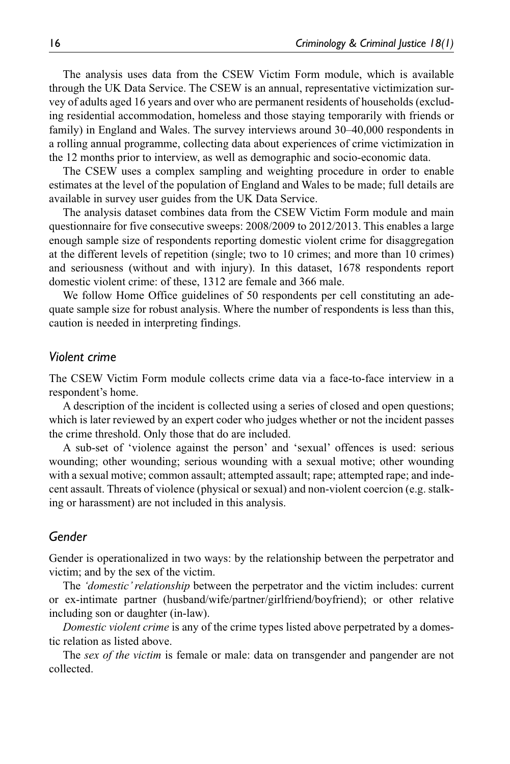The analysis uses data from the CSEW Victim Form module, which is available through the UK Data Service. The CSEW is an annual, representative victimization survey of adults aged 16 years and over who are permanent residents of households (excluding residential accommodation, homeless and those staying temporarily with friends or family) in England and Wales. The survey interviews around 30–40,000 respondents in a rolling annual programme, collecting data about experiences of crime victimization in the 12 months prior to interview, as well as demographic and socio-economic data.

The CSEW uses a complex sampling and weighting procedure in order to enable estimates at the level of the population of England and Wales to be made; full details are available in survey user guides from the UK Data Service.

The analysis dataset combines data from the CSEW Victim Form module and main questionnaire for five consecutive sweeps: 2008/2009 to 2012/2013. This enables a large enough sample size of respondents reporting domestic violent crime for disaggregation at the different levels of repetition (single; two to 10 crimes; and more than 10 crimes) and seriousness (without and with injury). In this dataset, 1678 respondents report domestic violent crime: of these, 1312 are female and 366 male.

We follow Home Office guidelines of 50 respondents per cell constituting an adequate sample size for robust analysis. Where the number of respondents is less than this, caution is needed in interpreting findings.

#### *Violent crime*

The CSEW Victim Form module collects crime data via a face-to-face interview in a respondent's home.

A description of the incident is collected using a series of closed and open questions; which is later reviewed by an expert coder who judges whether or not the incident passes the crime threshold. Only those that do are included.

A sub-set of 'violence against the person' and 'sexual' offences is used: serious wounding; other wounding; serious wounding with a sexual motive; other wounding with a sexual motive; common assault; attempted assault; rape; attempted rape; and indecent assault. Threats of violence (physical or sexual) and non-violent coercion (e.g. stalking or harassment) are not included in this analysis.

# *Gender*

Gender is operationalized in two ways: by the relationship between the perpetrator and victim; and by the sex of the victim.

The *'domestic' relationship* between the perpetrator and the victim includes: current or ex-intimate partner (husband/wife/partner/girlfriend/boyfriend); or other relative including son or daughter (in-law).

*Domestic violent crime* is any of the crime types listed above perpetrated by a domestic relation as listed above.

The *sex of the victim* is female or male: data on transgender and pangender are not collected.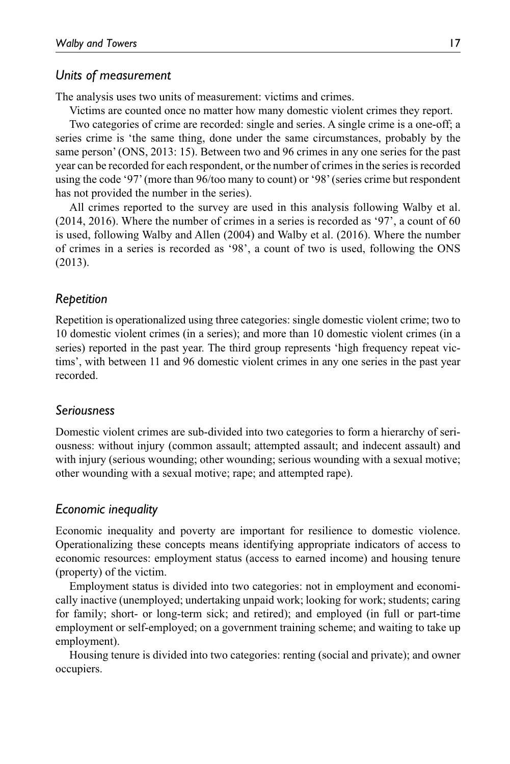# *Units of measurement*

The analysis uses two units of measurement: victims and crimes.

Victims are counted once no matter how many domestic violent crimes they report.

Two categories of crime are recorded: single and series. A single crime is a one-off; a series crime is 'the same thing, done under the same circumstances, probably by the same person' (ONS, 2013: 15). Between two and 96 crimes in any one series for the past year can be recorded for each respondent, or the number of crimes in the series is recorded using the code '97' (more than 96/too many to count) or '98' (series crime but respondent has not provided the number in the series).

All crimes reported to the survey are used in this analysis following Walby et al. (2014, 2016). Where the number of crimes in a series is recorded as '97', a count of 60 is used, following Walby and Allen (2004) and Walby et al. (2016). Where the number of crimes in a series is recorded as '98', a count of two is used, following the ONS (2013).

# *Repetition*

Repetition is operationalized using three categories: single domestic violent crime; two to 10 domestic violent crimes (in a series); and more than 10 domestic violent crimes (in a series) reported in the past year. The third group represents 'high frequency repeat victims', with between 11 and 96 domestic violent crimes in any one series in the past year recorded.

# *Seriousness*

Domestic violent crimes are sub-divided into two categories to form a hierarchy of seriousness: without injury (common assault; attempted assault; and indecent assault) and with injury (serious wounding; other wounding; serious wounding with a sexual motive; other wounding with a sexual motive; rape; and attempted rape).

# *Economic inequality*

Economic inequality and poverty are important for resilience to domestic violence. Operationalizing these concepts means identifying appropriate indicators of access to economic resources: employment status (access to earned income) and housing tenure (property) of the victim.

Employment status is divided into two categories: not in employment and economically inactive (unemployed; undertaking unpaid work; looking for work; students; caring for family; short- or long-term sick; and retired); and employed (in full or part-time employment or self-employed; on a government training scheme; and waiting to take up employment).

Housing tenure is divided into two categories: renting (social and private); and owner occupiers.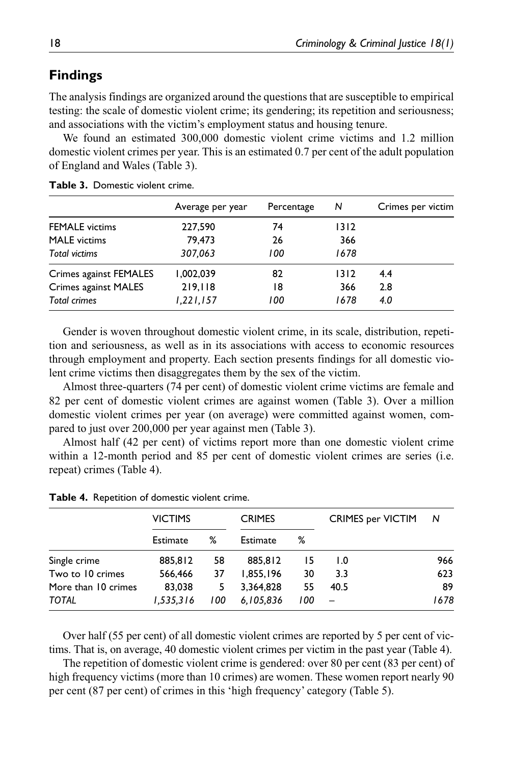# **Findings**

The analysis findings are organized around the questions that are susceptible to empirical testing: the scale of domestic violent crime; its gendering; its repetition and seriousness; and associations with the victim's employment status and housing tenure.

We found an estimated 300,000 domestic violent crime victims and 1.2 million domestic violent crimes per year. This is an estimated 0.7 per cent of the adult population of England and Wales (Table 3).

|                        | Average per year | Percentage | N      | Crimes per victim |
|------------------------|------------------|------------|--------|-------------------|
| <b>FEMALE</b> victims  | 227,590          | 74         | $1312$ |                   |
| <b>MALE</b> victims    | 79,473           | 26         | 366    |                   |
| <b>Total victims</b>   | 307,063          | 100        | 1678   |                   |
| Crimes against FEMALES | 1,002,039        | 82         | 1312   | 4.4               |
| Crimes against MALES   | 219,118          | 18         | 366    | 2.8               |
| <b>Total crimes</b>    | 1,221,157        | 100        | 1678   | 4.0               |

**Table 3.** Domestic violent crime.

Gender is woven throughout domestic violent crime, in its scale, distribution, repetition and seriousness, as well as in its associations with access to economic resources through employment and property. Each section presents findings for all domestic violent crime victims then disaggregates them by the sex of the victim.

Almost three-quarters (74 per cent) of domestic violent crime victims are female and 82 per cent of domestic violent crimes are against women (Table 3). Over a million domestic violent crimes per year (on average) were committed against women, compared to just over 200,000 per year against men (Table 3).

Almost half (42 per cent) of victims report more than one domestic violent crime within a 12-month period and 85 per cent of domestic violent crimes are series (i.e. repeat) crimes (Table 4).

|                     | <b>VICTIMS</b> |     | <b>CRIMES</b> |     | <b>CRIMES per VICTIM</b> | N    |  |
|---------------------|----------------|-----|---------------|-----|--------------------------|------|--|
|                     | Estimate       | ℅   | Estimate      | ℅   |                          |      |  |
| Single crime        | 885,812        | 58  | 885,812       | 15  | 1.0                      | 966  |  |
| Two to 10 crimes    | 566,466        | 37  | 1.855.196     | 30  | 3.3                      | 623  |  |
| More than 10 crimes | 83,038         | 5.  | 3,364,828     | 55  | 40.5                     | 89   |  |
| <b>TOTAL</b>        | 1,535,316      | 100 | 6.105.836     | 100 |                          | 1678 |  |

**Table 4.** Repetition of domestic violent crime.

Over half (55 per cent) of all domestic violent crimes are reported by 5 per cent of victims. That is, on average, 40 domestic violent crimes per victim in the past year (Table 4).

The repetition of domestic violent crime is gendered: over 80 per cent (83 per cent) of high frequency victims (more than 10 crimes) are women. These women report nearly 90 per cent (87 per cent) of crimes in this 'high frequency' category (Table 5).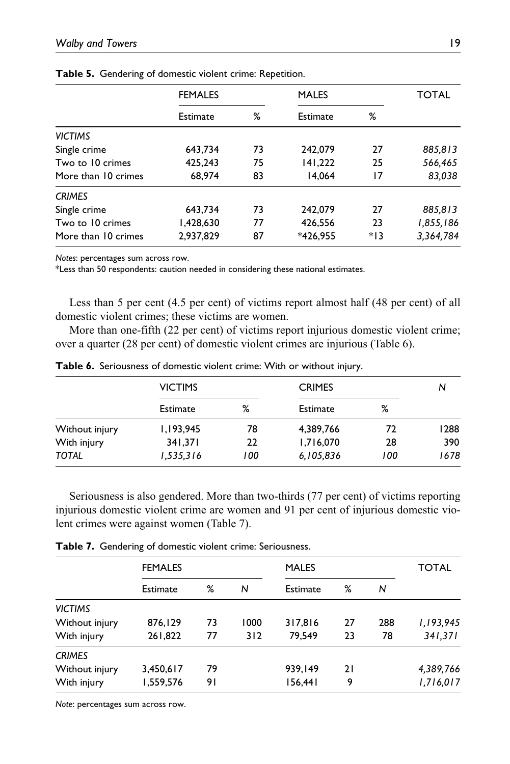|                     | <b>FEMALES</b> |    | <b>MALES</b> |       | <b>TOTAL</b> |  |
|---------------------|----------------|----|--------------|-------|--------------|--|
|                     | Estimate       | ℅  | Estimate     | %     |              |  |
| <b>VICTIMS</b>      |                |    |              |       |              |  |
| Single crime        | 643,734        | 73 | 242,079      | 27    | 885,813      |  |
| Two to 10 crimes    | 425.243        | 75 | 141,222      | 25    | 566,465      |  |
| More than 10 crimes | 68,974         | 83 | 14.064       | 17    | 83,038       |  |
| <b>CRIMES</b>       |                |    |              |       |              |  |
| Single crime        | 643,734        | 73 | 242,079      | 27    | 885,813      |  |
| Two to 10 crimes    | 1,428,630      | 77 | 426,556      | 23    | 1,855,186    |  |
| More than 10 crimes | 2,937,829      | 87 | $*426.955$   | $*13$ | 3,364,784    |  |

|  |  | Table 5. Gendering of domestic violent crime: Repetition. |  |  |  |
|--|--|-----------------------------------------------------------|--|--|--|
|--|--|-----------------------------------------------------------|--|--|--|

*Notes*: percentages sum across row.

\*Less than 50 respondents: caution needed in considering these national estimates.

Less than 5 per cent (4.5 per cent) of victims report almost half (48 per cent) of all domestic violent crimes; these victims are women.

More than one-fifth (22 per cent) of victims report injurious domestic violent crime; over a quarter (28 per cent) of domestic violent crimes are injurious (Table 6).

|                | <b>VICTIMS</b> |     | <b>CRIMES</b> | N   |      |
|----------------|----------------|-----|---------------|-----|------|
|                | Estimate       | ℅   | Estimate      | %   |      |
| Without injury | 1,193,945      | 78  | 4,389,766     | 72  | 1288 |
| With injury    | 341.371        | 22  | 1,716,070     | 28  | 390  |
| <b>TOTAL</b>   | 1,535,316      | 100 | 6, 105, 836   | 100 | 1678 |

**Table 6.** Seriousness of domestic violent crime: With or without injury.

Seriousness is also gendered. More than two-thirds (77 per cent) of victims reporting injurious domestic violent crime are women and 91 per cent of injurious domestic violent crimes were against women (Table 7).

|                | <b>FEMALES</b> |    |      | <b>MALES</b> |    |     | <b>TOTAL</b> |
|----------------|----------------|----|------|--------------|----|-----|--------------|
|                | Estimate       | %  | N    | Estimate     | %  | N   |              |
| <b>VICTIMS</b> |                |    |      |              |    |     |              |
| Without injury | 876,129        | 73 | 1000 | 317,816      | 27 | 288 | 1,193,945    |
| With injury    | 261,822        | 77 | 312  | 79.549       | 23 | 78  | 341,371      |
| <b>CRIMES</b>  |                |    |      |              |    |     |              |
| Without injury | 3,450,617      | 79 |      | 939,149      | 21 |     | 4,389,766    |
| With injury    | 1,559,576      | 91 |      | 156,441      | 9  |     | 1,716,017    |

*Note*: percentages sum across row.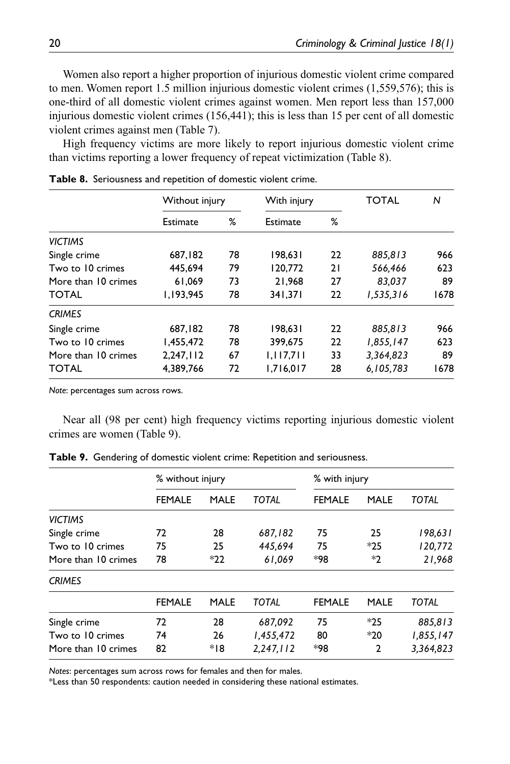Women also report a higher proportion of injurious domestic violent crime compared to men. Women report 1.5 million injurious domestic violent crimes (1,559,576); this is one-third of all domestic violent crimes against women. Men report less than 157,000 injurious domestic violent crimes (156,441); this is less than 15 per cent of all domestic violent crimes against men (Table 7).

High frequency victims are more likely to report injurious domestic violent crime than victims reporting a lower frequency of repeat victimization (Table 8).

|                     | Without injury |    | With injury |    |             | N    |
|---------------------|----------------|----|-------------|----|-------------|------|
|                     | Estimate       | %  | Estimate    | %  |             |      |
| <b>VICTIMS</b>      |                |    |             |    |             |      |
| Single crime        | 687.182        | 78 | 198.631     | 22 | 885,813     | 966  |
| Two to 10 crimes    | 445.694        | 79 | 120,772     | 21 | 566,466     | 623  |
| More than 10 crimes | 61,069         | 73 | 21,968      | 27 | 83.037      | 89   |
| <b>TOTAL</b>        | 1,193,945      | 78 | 341.371     | 22 | 1,535,316   | 1678 |
| <b>CRIMES</b>       |                |    |             |    |             |      |
| Single crime        | 687,182        | 78 | 198,631     | 22 | 885,813     | 966  |
| Two to 10 crimes    | 1,455,472      | 78 | 399,675     | 22 | 1,855,147   | 623  |
| More than 10 crimes | 2.247.112      | 67 | 1.117.711   | 33 | 3.364.823   | 89   |
| <b>TOTAL</b>        | 4.389.766      | 72 | 1,716,017   | 28 | 6, 105, 783 | 1678 |

|  | Table 8. Seriousness and repetition of domestic violent crime. |  |  |  |  |  |  |
|--|----------------------------------------------------------------|--|--|--|--|--|--|
|--|----------------------------------------------------------------|--|--|--|--|--|--|

*Note*: percentages sum across rows.

Near all (98 per cent) high frequency victims reporting injurious domestic violent crimes are women (Table 9).

|                     | % without injury |             |              | % with injury |             |              |  |
|---------------------|------------------|-------------|--------------|---------------|-------------|--------------|--|
|                     | <b>FEMALE</b>    | <b>MALE</b> | <b>TOTAL</b> | <b>FEMALE</b> | <b>MALE</b> | <b>TOTAL</b> |  |
| <b>VICTIMS</b>      |                  |             |              |               |             |              |  |
| Single crime        | 72               | 28          | 687,182      | 75            | 25          | 198,631      |  |
| Two to 10 crimes    | 75               | 25          | 445,694      | 75            | $*25$       | 120,772      |  |
| More than 10 crimes | 78               | $*22$       | 61,069       | *98           | *2          | 21,968       |  |
| <b>CRIMES</b>       |                  |             |              |               |             |              |  |
|                     | <b>FEMALE</b>    | <b>MALE</b> | <b>TOTAL</b> | <b>FEMALE</b> | <b>MALE</b> | <b>TOTAL</b> |  |
| Single crime        | 72               | 28          | 687,092      | 75            | $*25$       | 885,813      |  |
| Two to 10 crimes    | 74               | 26          | 1,455,472    | 80            | $*20$       | 1,855,147    |  |
| More than 10 crimes | 82               | *18         | 2,247,112    | *98           | 2           | 3,364,823    |  |

**Table 9.** Gendering of domestic violent crime: Repetition and seriousness.

*Notes*: percentages sum across rows for females and then for males.

\*Less than 50 respondents: caution needed in considering these national estimates.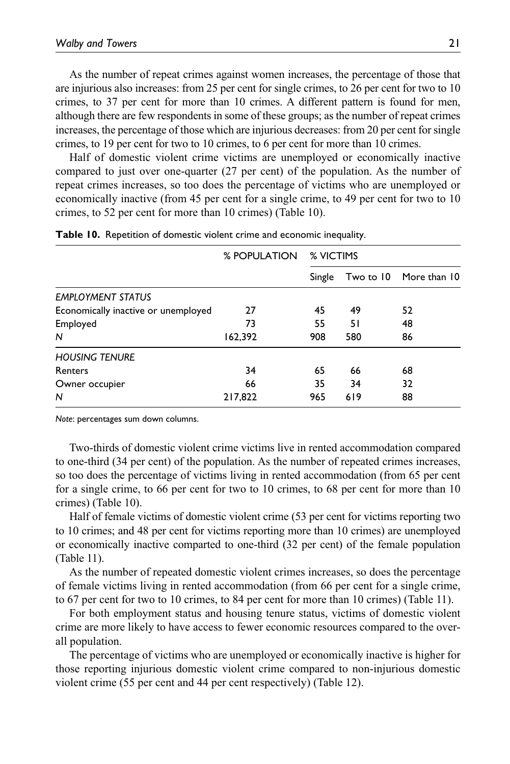As the number of repeat crimes against women increases, the percentage of those that are injurious also increases: from 25 per cent for single crimes, to 26 per cent for two to 10 crimes, to 37 per cent for more than 10 crimes. A different pattern is found for men, although there are few respondents in some of these groups; as the number of repeat crimes increases, the percentage of those which are injurious decreases: from 20 per cent for single crimes, to 19 per cent for two to 10 crimes, to 6 per cent for more than 10 crimes.

Half of domestic violent crime victims are unemployed or economically inactive compared to just over one-quarter (27 per cent) of the population. As the number of repeat crimes increases, so too does the percentage of victims who are unemployed or economically inactive (from 45 per cent for a single crime, to 49 per cent for two to 10 crimes, to 52 per cent for more than 10 crimes) (Table 10).

|                                     | % POPULATION | % VICTIMS |     |                        |  |
|-------------------------------------|--------------|-----------|-----|------------------------|--|
|                                     |              | Single    |     | Two to 10 More than 10 |  |
| <b>EMPLOYMENT STATUS</b>            |              |           |     |                        |  |
| Economically inactive or unemployed | 27           | 45        | 49  | 52                     |  |
| Employed                            | 73           | 55        | 51  | 48                     |  |
| N                                   | 162,392      | 908       | 580 | 86                     |  |
| <b>HOUSING TENURE</b>               |              |           |     |                        |  |
| Renters                             | 34           | 65        | 66  | 68                     |  |
| Owner occupier                      | 66           | 35        | 34  | 32                     |  |
| N                                   | 217,822      | 965       | 619 | 88                     |  |

**Table 10.** Repetition of domestic violent crime and economic inequality.

*Note*: percentages sum down columns.

Two-thirds of domestic violent crime victims live in rented accommodation compared to one-third (34 per cent) of the population. As the number of repeated crimes increases, so too does the percentage of victims living in rented accommodation (from 65 per cent for a single crime, to 66 per cent for two to 10 crimes, to 68 per cent for more than 10 crimes) (Table 10).

Half of female victims of domestic violent crime (53 per cent for victims reporting two to 10 crimes; and 48 per cent for victims reporting more than 10 crimes) are unemployed or economically inactive comparted to one-third (32 per cent) of the female population (Table 11).

As the number of repeated domestic violent crimes increases, so does the percentage of female victims living in rented accommodation (from 66 per cent for a single crime, to 67 per cent for two to 10 crimes, to 84 per cent for more than 10 crimes) (Table 11).

For both employment status and housing tenure status, victims of domestic violent crime are more likely to have access to fewer economic resources compared to the overall population.

The percentage of victims who are unemployed or economically inactive is higher for those reporting injurious domestic violent crime compared to non-injurious domestic violent crime (55 per cent and 44 per cent respectively) (Table 12).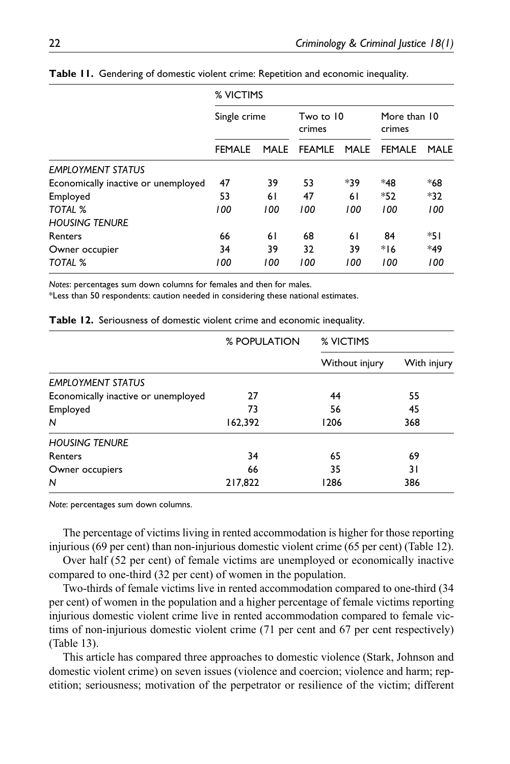|                                     | % VICTIMS     |             |                     |      |                        |       |  |
|-------------------------------------|---------------|-------------|---------------------|------|------------------------|-------|--|
|                                     | Single crime  |             | Two to 10<br>crimes |      | More than 10<br>crimes |       |  |
|                                     | <b>FEMALE</b> | <b>MALE</b> | <b>FEAMLE</b>       | MALE | <b>FEMALE</b>          | MALF  |  |
| <b>EMPLOYMENT STATUS</b>            |               |             |                     |      |                        |       |  |
| Economically inactive or unemployed | 47            | 39          | 53                  | *39  | *48                    | $*68$ |  |
| Employed                            | 53            | 61          | 47                  | 61   | $*52$                  | $*32$ |  |
| <b>TOTAL %</b>                      | 100           | 100         | 100                 | 100  | 100                    | 100   |  |
| <b>HOUSING TENURE</b>               |               |             |                     |      |                        |       |  |
| Renters                             | 66            | 61          | 68                  | 61   | 84                     | $*51$ |  |
| Owner occupier                      | 34            | 39          | 32                  | 39   | $*16$                  | $*49$ |  |
| TOTAL %                             | 100           | 100         | 100                 | 100  | 100                    | 100   |  |

#### **Table 11.** Gendering of domestic violent crime: Repetition and economic inequality.

*Notes*: percentages sum down columns for females and then for males.

\*Less than 50 respondents: caution needed in considering these national estimates.

|                                     | % POPULATION | % VICTIMS      |             |  |
|-------------------------------------|--------------|----------------|-------------|--|
|                                     |              | Without injury | With injury |  |
| <b>EMPLOYMENT STATUS</b>            |              |                |             |  |
| Economically inactive or unemployed | 27           | 44             | 55          |  |
| Employed                            | 73           | 56             | 45          |  |
| N                                   | 162,392      | 1206           | 368         |  |
| <b>HOUSING TENURE</b>               |              |                |             |  |
| Renters                             | 34           | 65             | 69          |  |
| Owner occupiers                     | 66           | 35             | 31          |  |
| N                                   | 217,822      | 1286           | 386         |  |

|  |  | <b>Table 12.</b> Seriousness of domestic violent crime and economic inequality. |  |  |  |  |  |  |  |  |  |
|--|--|---------------------------------------------------------------------------------|--|--|--|--|--|--|--|--|--|
|--|--|---------------------------------------------------------------------------------|--|--|--|--|--|--|--|--|--|

*Note*: percentages sum down columns.

The percentage of victims living in rented accommodation is higher for those reporting injurious (69 per cent) than non-injurious domestic violent crime (65 per cent) (Table 12).

Over half (52 per cent) of female victims are unemployed or economically inactive compared to one-third (32 per cent) of women in the population.

Two-thirds of female victims live in rented accommodation compared to one-third (34 per cent) of women in the population and a higher percentage of female victims reporting injurious domestic violent crime live in rented accommodation compared to female victims of non-injurious domestic violent crime (71 per cent and 67 per cent respectively) (Table 13).

This article has compared three approaches to domestic violence (Stark, Johnson and domestic violent crime) on seven issues (violence and coercion; violence and harm; repetition; seriousness; motivation of the perpetrator or resilience of the victim; different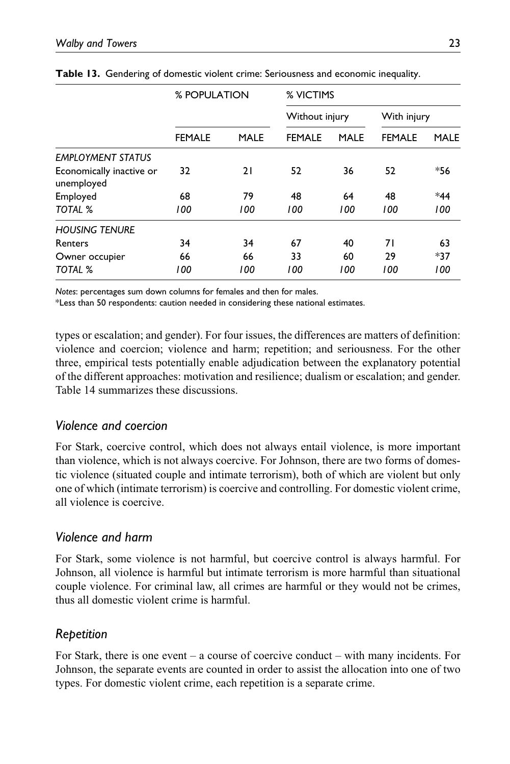|                                        | % POPULATION  |             | % VICTIMS      |             |               |             |  |
|----------------------------------------|---------------|-------------|----------------|-------------|---------------|-------------|--|
|                                        |               |             | Without injury |             | With injury   |             |  |
|                                        | <b>FEMALE</b> | <b>MALE</b> | <b>FEMALE</b>  | <b>MALE</b> | <b>FEMALE</b> | <b>MALE</b> |  |
| <b>EMPLOYMENT STATUS</b>               |               |             |                |             |               |             |  |
| Economically inactive or<br>unemployed | 32            | 21          | 52             | 36          | 52            | $*56$       |  |
| Employed                               | 68            | 79          | 48             | 64          | 48            | $*44$       |  |
| <b>TOTAL %</b>                         | 100           | 100         | 100            | 100         | 100           | 100         |  |
| <b>HOUSING TENURE</b>                  |               |             |                |             |               |             |  |
| Renters                                | 34            | 34          | 67             | 40          | 71            | 63          |  |
| Owner occupier                         | 66            | 66          | 33             | 60          | 29            | $*37$       |  |
| <b>TOTAL %</b>                         | 100           | 100         | 100            | 100         | 100           | 100         |  |

**Table 13.** Gendering of domestic violent crime: Seriousness and economic inequality.

*Notes*: percentages sum down columns for females and then for males.

\*Less than 50 respondents: caution needed in considering these national estimates.

types or escalation; and gender). For four issues, the differences are matters of definition: violence and coercion; violence and harm; repetition; and seriousness. For the other three, empirical tests potentially enable adjudication between the explanatory potential of the different approaches: motivation and resilience; dualism or escalation; and gender. Table 14 summarizes these discussions.

# *Violence and coercion*

For Stark, coercive control, which does not always entail violence, is more important than violence, which is not always coercive. For Johnson, there are two forms of domestic violence (situated couple and intimate terrorism), both of which are violent but only one of which (intimate terrorism) is coercive and controlling. For domestic violent crime, all violence is coercive.

# *Violence and harm*

For Stark, some violence is not harmful, but coercive control is always harmful. For Johnson, all violence is harmful but intimate terrorism is more harmful than situational couple violence. For criminal law, all crimes are harmful or they would not be crimes, thus all domestic violent crime is harmful.

# *Repetition*

For Stark, there is one event – a course of coercive conduct – with many incidents. For Johnson, the separate events are counted in order to assist the allocation into one of two types. For domestic violent crime, each repetition is a separate crime.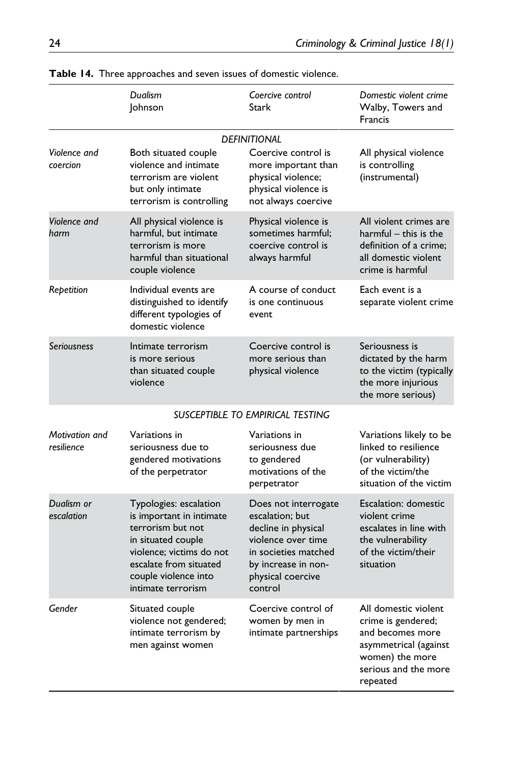|                              | Dualism<br>Johnson                                                                                                                                                                                | Coercive control<br>Stark                                                                                                                                           | Domestic violent crime<br>Walby, Towers and<br>Francis                                                                                         |
|------------------------------|---------------------------------------------------------------------------------------------------------------------------------------------------------------------------------------------------|---------------------------------------------------------------------------------------------------------------------------------------------------------------------|------------------------------------------------------------------------------------------------------------------------------------------------|
|                              |                                                                                                                                                                                                   | <b>DEFINITIONAL</b>                                                                                                                                                 |                                                                                                                                                |
| Violence and<br>coercion     | Both situated couple<br>violence and intimate<br>terrorism are violent<br>but only intimate<br>terrorism is controlling                                                                           | Coercive control is<br>more important than<br>physical violence;<br>physical violence is<br>not always coercive                                                     | All physical violence<br>is controlling<br>(instrumental)                                                                                      |
| Violence and<br>harm         | All physical violence is<br>harmful, but intimate<br>terrorism is more<br>harmful than situational<br>couple violence                                                                             | Physical violence is<br>sometimes harmful;<br>coercive control is<br>always harmful                                                                                 | All violent crimes are<br>$harmful - this$ is the<br>definition of a crime;<br>all domestic violent<br>crime is harmful                        |
| Repetition                   | Individual events are<br>distinguished to identify<br>different typologies of<br>domestic violence                                                                                                | A course of conduct<br>is one continuous<br>event                                                                                                                   | Each event is a<br>separate violent crime                                                                                                      |
| <b>Seriousness</b>           | Intimate terrorism<br>is more serious<br>than situated couple<br>violence                                                                                                                         | Coercive control is<br>more serious than<br>physical violence                                                                                                       | Seriousness is<br>dictated by the harm<br>to the victim (typically<br>the more injurious<br>the more serious)                                  |
|                              |                                                                                                                                                                                                   | SUSCEPTIBLE TO EMPIRICAL TESTING                                                                                                                                    |                                                                                                                                                |
| Motivation and<br>resilience | Variations in<br>seriousness due to<br>gendered motivations<br>of the perpetrator                                                                                                                 | Variations in<br>seriousness due<br>to gendered<br>motivations of the<br>perpetrator                                                                                | Variations likely to be<br>linked to resilience<br>(or vulnerability)<br>of the victim/the<br>situation of the victim                          |
| Dualism or<br>escalation     | Typologies: escalation<br>is important in intimate<br>terrorism but not<br>in situated couple<br>violence; victims do not<br>escalate from situated<br>couple violence into<br>intimate terrorism | Does not interrogate<br>escalation; but<br>decline in physical<br>violence over time<br>in societies matched<br>by increase in non-<br>physical coercive<br>control | Escalation: domestic<br>violent crime<br>escalates in line with<br>the vulnerability<br>of the victim/their<br>situation                       |
| Gender                       | Situated couple<br>violence not gendered;<br>intimate terrorism by<br>men against women                                                                                                           | Coercive control of<br>women by men in<br>intimate partnerships                                                                                                     | All domestic violent<br>crime is gendered;<br>and becomes more<br>asymmetrical (against<br>women) the more<br>serious and the more<br>repeated |

**Table 14.** Three approaches and seven issues of domestic violence.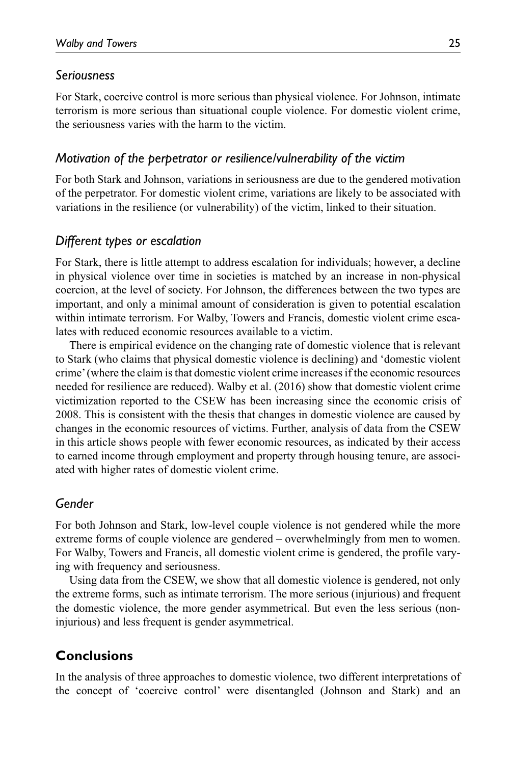# *Seriousness*

For Stark, coercive control is more serious than physical violence. For Johnson, intimate terrorism is more serious than situational couple violence. For domestic violent crime, the seriousness varies with the harm to the victim.

# *Motivation of the perpetrator or resilience/vulnerability of the victim*

For both Stark and Johnson, variations in seriousness are due to the gendered motivation of the perpetrator. For domestic violent crime, variations are likely to be associated with variations in the resilience (or vulnerability) of the victim, linked to their situation.

# *Different types or escalation*

For Stark, there is little attempt to address escalation for individuals; however, a decline in physical violence over time in societies is matched by an increase in non-physical coercion, at the level of society. For Johnson, the differences between the two types are important, and only a minimal amount of consideration is given to potential escalation within intimate terrorism. For Walby, Towers and Francis, domestic violent crime escalates with reduced economic resources available to a victim.

There is empirical evidence on the changing rate of domestic violence that is relevant to Stark (who claims that physical domestic violence is declining) and 'domestic violent crime' (where the claim is that domestic violent crime increases if the economic resources needed for resilience are reduced). Walby et al. (2016) show that domestic violent crime victimization reported to the CSEW has been increasing since the economic crisis of 2008. This is consistent with the thesis that changes in domestic violence are caused by changes in the economic resources of victims. Further, analysis of data from the CSEW in this article shows people with fewer economic resources, as indicated by their access to earned income through employment and property through housing tenure, are associated with higher rates of domestic violent crime.

# *Gender*

For both Johnson and Stark, low-level couple violence is not gendered while the more extreme forms of couple violence are gendered – overwhelmingly from men to women. For Walby, Towers and Francis, all domestic violent crime is gendered, the profile varying with frequency and seriousness.

Using data from the CSEW, we show that all domestic violence is gendered, not only the extreme forms, such as intimate terrorism. The more serious (injurious) and frequent the domestic violence, the more gender asymmetrical. But even the less serious (noninjurious) and less frequent is gender asymmetrical.

# **Conclusions**

In the analysis of three approaches to domestic violence, two different interpretations of the concept of 'coercive control' were disentangled (Johnson and Stark) and an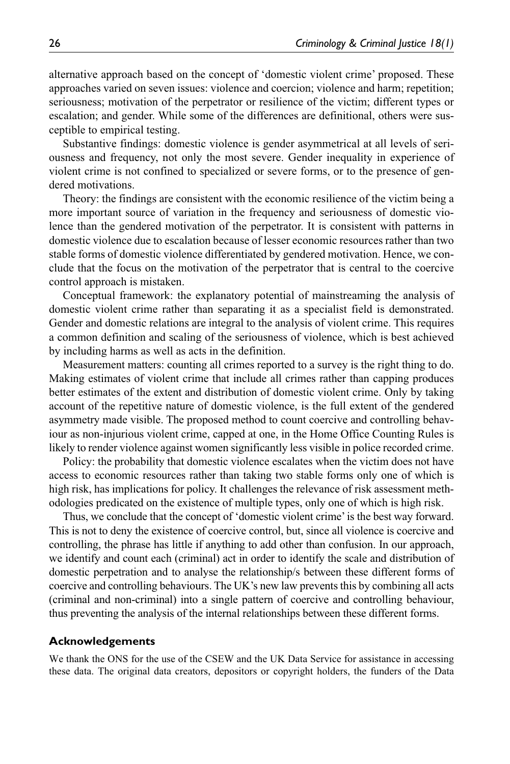alternative approach based on the concept of 'domestic violent crime' proposed. These approaches varied on seven issues: violence and coercion; violence and harm; repetition; seriousness; motivation of the perpetrator or resilience of the victim; different types or escalation; and gender. While some of the differences are definitional, others were susceptible to empirical testing.

Substantive findings: domestic violence is gender asymmetrical at all levels of seriousness and frequency, not only the most severe. Gender inequality in experience of violent crime is not confined to specialized or severe forms, or to the presence of gendered motivations.

Theory: the findings are consistent with the economic resilience of the victim being a more important source of variation in the frequency and seriousness of domestic violence than the gendered motivation of the perpetrator. It is consistent with patterns in domestic violence due to escalation because of lesser economic resources rather than two stable forms of domestic violence differentiated by gendered motivation. Hence, we conclude that the focus on the motivation of the perpetrator that is central to the coercive control approach is mistaken.

Conceptual framework: the explanatory potential of mainstreaming the analysis of domestic violent crime rather than separating it as a specialist field is demonstrated. Gender and domestic relations are integral to the analysis of violent crime. This requires a common definition and scaling of the seriousness of violence, which is best achieved by including harms as well as acts in the definition.

Measurement matters: counting all crimes reported to a survey is the right thing to do. Making estimates of violent crime that include all crimes rather than capping produces better estimates of the extent and distribution of domestic violent crime. Only by taking account of the repetitive nature of domestic violence, is the full extent of the gendered asymmetry made visible. The proposed method to count coercive and controlling behaviour as non-injurious violent crime, capped at one, in the Home Office Counting Rules is likely to render violence against women significantly less visible in police recorded crime.

Policy: the probability that domestic violence escalates when the victim does not have access to economic resources rather than taking two stable forms only one of which is high risk, has implications for policy. It challenges the relevance of risk assessment methodologies predicated on the existence of multiple types, only one of which is high risk.

Thus, we conclude that the concept of 'domestic violent crime' is the best way forward. This is not to deny the existence of coercive control, but, since all violence is coercive and controlling, the phrase has little if anything to add other than confusion. In our approach, we identify and count each (criminal) act in order to identify the scale and distribution of domestic perpetration and to analyse the relationship/s between these different forms of coercive and controlling behaviours. The UK's new law prevents this by combining all acts (criminal and non-criminal) into a single pattern of coercive and controlling behaviour, thus preventing the analysis of the internal relationships between these different forms.

#### **Acknowledgements**

We thank the ONS for the use of the CSEW and the UK Data Service for assistance in accessing these data. The original data creators, depositors or copyright holders, the funders of the Data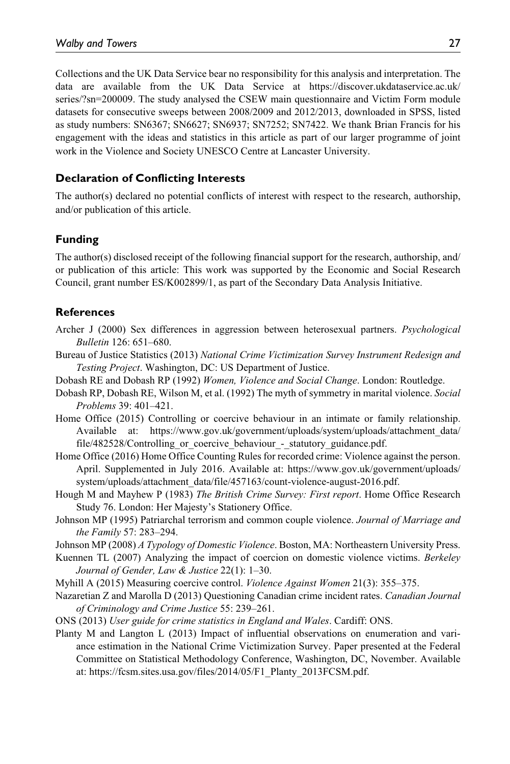Collections and the UK Data Service bear no responsibility for this analysis and interpretation. The data are available from the UK Data Service at [https://discover.ukdataservice.ac.uk/](https://discover.ukdataservice.ac.uk/series/?sn=200009) [series/?sn=200009](https://discover.ukdataservice.ac.uk/series/?sn=200009). The study analysed the CSEW main questionnaire and Victim Form module datasets for consecutive sweeps between 2008/2009 and 2012/2013, downloaded in SPSS, listed as study numbers: SN6367; SN6627; SN6937; SN7252; SN7422. We thank Brian Francis for his engagement with the ideas and statistics in this article as part of our larger programme of joint work in the Violence and Society UNESCO Centre at Lancaster University.

#### **Declaration of Conflicting Interests**

The author(s) declared no potential conflicts of interest with respect to the research, authorship, and/or publication of this article.

#### **Funding**

The author(s) disclosed receipt of the following financial support for the research, authorship, and/ or publication of this article: This work was supported by the Economic and Social Research Council, grant number ES/K002899/1, as part of the Secondary Data Analysis Initiative.

#### **References**

- Archer J (2000) Sex differences in aggression between heterosexual partners. *Psychological Bulletin* 126: 651–680.
- Bureau of Justice Statistics (2013) *National Crime Victimization Survey Instrument Redesign and Testing Project*. Washington, DC: US Department of Justice.
- Dobash RE and Dobash RP (1992) *Women, Violence and Social Change*. London: Routledge.
- Dobash RP, Dobash RE, Wilson M, et al. (1992) The myth of symmetry in marital violence. *Social Problems* 39: 401–421.
- Home Office (2015) Controlling or coercive behaviour in an intimate or family relationship. Available at: [https://www.gov.uk/government/uploads/system/uploads/attachment\\_data/](https://www.gov.uk/government/uploads/system/uploads/attachment_data/file/482528/Controlling_or_coercive_behaviour_-_statutory_guidance.pdf) file/482528/Controlling or coercive behaviour - statutory guidance.pdf.
- Home Office (2016) Home Office Counting Rules for recorded crime: Violence against the person. April. Supplemented in July 2016. Available at: [https://www.gov.uk/government/uploads/](https://www.gov.uk/government/uploads/system/uploads/attachment_data/file/457163/count-violence-august-2016.pdf) [system/uploads/attachment\\_data/file/457163/count-violence-august-2016.pdf.](https://www.gov.uk/government/uploads/system/uploads/attachment_data/file/457163/count-violence-august-2016.pdf)
- Hough M and Mayhew P (1983) *The British Crime Survey: First report*. Home Office Research Study 76. London: Her Majesty's Stationery Office.
- Johnson MP (1995) Patriarchal terrorism and common couple violence. *Journal of Marriage and the Family* 57: 283–294.
- Johnson MP (2008) *A Typology of Domestic Violence*. Boston, MA: Northeastern University Press.
- Kuennen TL (2007) Analyzing the impact of coercion on domestic violence victims. *Berkeley Journal of Gender, Law & Justice* 22(1): 1–30.
- Myhill A (2015) Measuring coercive control. *Violence Against Women* 21(3): 355–375.
- Nazaretian Z and Marolla D (2013) Questioning Canadian crime incident rates. *Canadian Journal of Criminology and Crime Justice* 55: 239–261.
- ONS (2013) *User guide for crime statistics in England and Wales*. Cardiff: ONS.
- Planty M and Langton L (2013) Impact of influential observations on enumeration and variance estimation in the National Crime Victimization Survey. Paper presented at the Federal Committee on Statistical Methodology Conference, Washington, DC, November. Available at: [https://fcsm.sites.usa.gov/files/2014/05/F1\\_Planty\\_2013FCSM.pdf](https://fcsm.sites.usa.gov/files/2014/05/F1_Planty_2013FCSM.pdf).